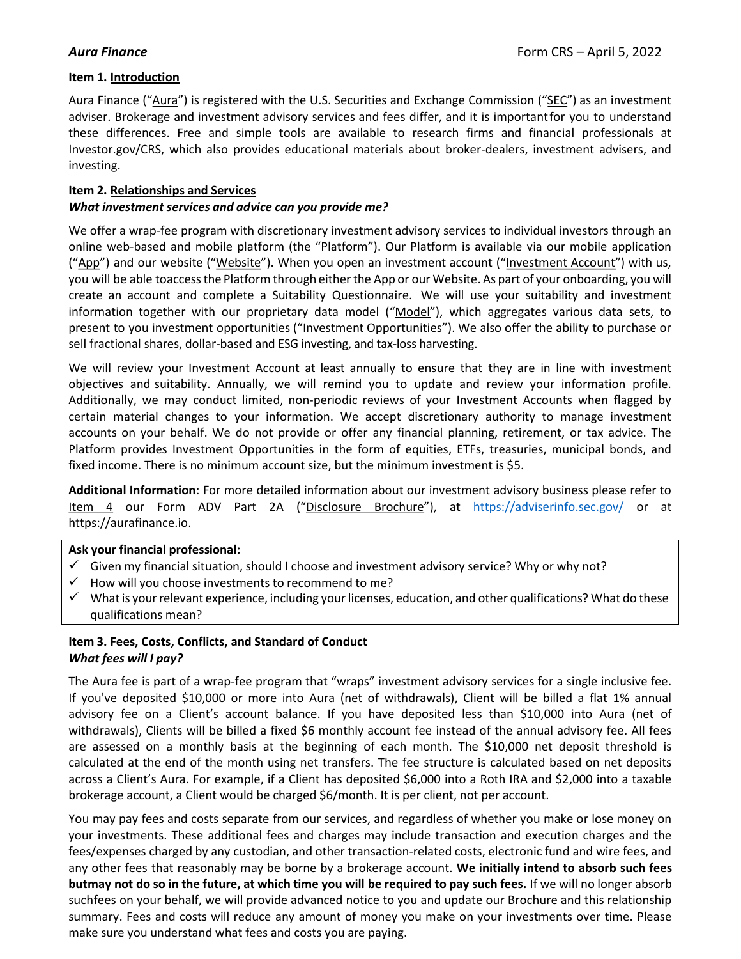# Item 1. Introduction

Aura Finance ("Aura") is registered with the U.S. Securities and Exchange Commission ("SEC") as an investment adviser. Brokerage and investment advisory services and fees differ, and it is important for you to understand these differences. Free and simple tools are available to research firms and financial professionals at Investor.gov/CRS, which also provides educational materials about broker-dealers, investment advisers, and investing.

# Item 2. Relationships and Services

# What investment services and advice can you provide me?

We offer a wrap-fee program with discretionary investment advisory services to individual investors through an online web-based and mobile platform (the "Platform"). Our Platform is available via our mobile application ("App") and our website ("Website"). When you open an investment account ("Investment Account") with us, you will be able toaccess the Platform through either the App or our Website. As part of your onboarding, you will create an account and complete a Suitability Questionnaire. We will use your suitability and investment information together with our proprietary data model ("Model"), which aggregates various data sets, to present to you investment opportunities ("Investment Opportunities"). We also offer the ability to purchase or sell fractional shares, dollar-based and ESG investing, and tax-loss harvesting.

We will review your Investment Account at least annually to ensure that they are in line with investment objectives and suitability. Annually, we will remind you to update and review your information profile. Additionally, we may conduct limited, non-periodic reviews of your Investment Accounts when flagged by certain material changes to your information. We accept discretionary authority to manage investment accounts on your behalf. We do not provide or offer any financial planning, retirement, or tax advice. The Platform provides Investment Opportunities in the form of equities, ETFs, treasuries, municipal bonds, and fixed income. There is no minimum account size, but the minimum investment is \$5.

Additional Information: For more detailed information about our investment advisory business please refer to Item 4 our Form ADV Part 2A ("Disclosure Brochure"), at https://adviserinfo.sec.gov/ or at https://aurafinance.io.

## Ask your financial professional:

- $\checkmark$  Given my financial situation, should I choose and investment advisory service? Why or why not?
- $\checkmark$  How will you choose investments to recommend to me?
- $\checkmark$  What is your relevant experience, including your licenses, education, and other qualifications? What do these qualifications mean?

# Item 3. Fees, Costs, Conflicts, and Standard of Conduct What fees will I pay?

The Aura fee is part of a wrap-fee program that "wraps" investment advisory services for a single inclusive fee. If you've deposited \$10,000 or more into Aura (net of withdrawals), Client will be billed a flat 1% annual advisory fee on a Client's account balance. If you have deposited less than \$10,000 into Aura (net of withdrawals), Clients will be billed a fixed \$6 monthly account fee instead of the annual advisory fee. All fees are assessed on a monthly basis at the beginning of each month. The \$10,000 net deposit threshold is calculated at the end of the month using net transfers. The fee structure is calculated based on net deposits across a Client's Aura. For example, if a Client has deposited \$6,000 into a Roth IRA and \$2,000 into a taxable brokerage account, a Client would be charged \$6/month. It is per client, not per account.

You may pay fees and costs separate from our services, and regardless of whether you make or lose money on your investments. These additional fees and charges may include transaction and execution charges and the fees/expenses charged by any custodian, and other transaction-related costs, electronic fund and wire fees, and any other fees that reasonably may be borne by a brokerage account. We initially intend to absorb such fees but may not do so in the future, at which time you will be required to pay such fees. If we will no longer absorb such fees on your behalf, we will provide advanced notice to you and update our Brochure and this relationship summary. Fees and costs will reduce any amount of money you make on your investments over time. Please make sure you understand what fees and costs you are paying.